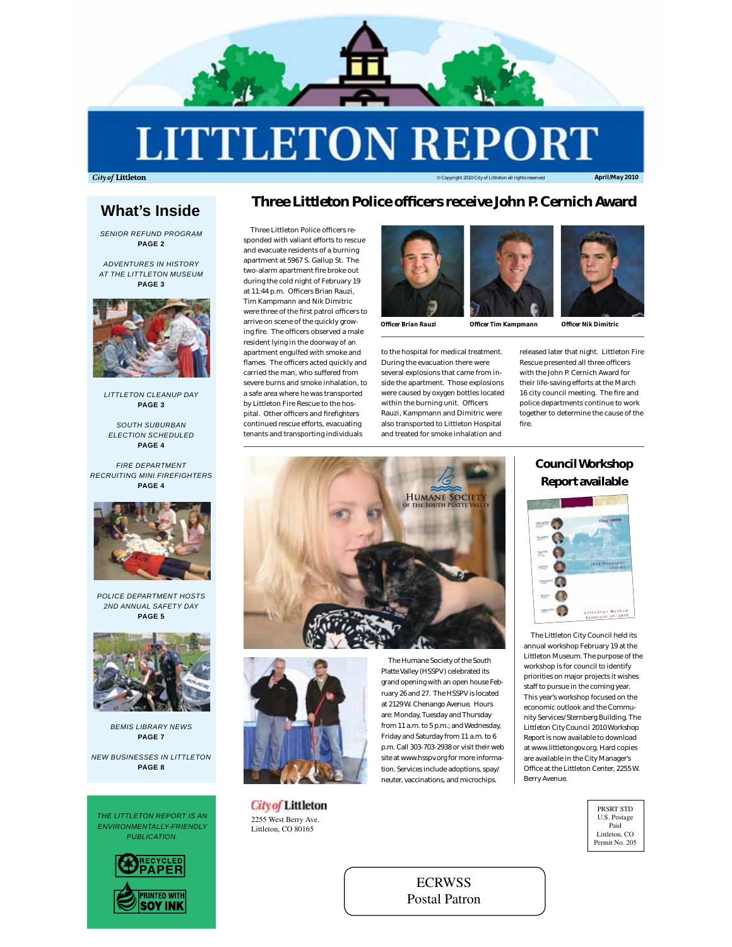

# **LITTLETON REP**

**City of Littleton** 

© Copyright 2010 City of Littleton all rights reserved *April/May 2010*

## **What's Inside**

*SENIOR REFUND PROGRAM*  **PAGE 2**

*ADVENTURES IN HISTORY AT THE LITTLETON MUSEUM* **PAGE 3**



*LITTLETON CLEANUP DAY* **PAGE 3**

*SOUTH SUBURBAN ELECTION SCHEDULED* **PAGE 4**

*FIRE DEPARTMENT RECRUITING MINI FIREFIGHTERS* **PAGE 4**



*POLICE DEPARTMENT HOSTS 2ND ANNUAL SAFETY DAY* **PAGE 5**



*BEMIS LIBRARY NEWS* **PAGE 7**

*NEW BUSINESSES IN LITTLETON* **PAGE 8**

*THE LITTLETON REPORT IS AN ENVIRONMENTALLY-FRIENDLY PUBLICATION.*



## **Three Littleton Police officers receive John P. Cernich Award**

Three Littleton Police officers responded with valiant efforts to rescue and evacuate residents of a burning apartment at 5967 S. Gallup St. The two-alarm apartment fire broke out during the cold night of February 19 at 11:44 p.m. Officers Brian Rauzi, Tim Kampmann and Nik Dimitric were three of the first patrol officers to arrive on scene of the quickly growing fire. The officers observed a male resident lying in the doorway of an apartment engulfed with smoke and flames. The officers acted quickly and carried the man, who suffered from severe burns and smoke inhalation, to a safe area where he was transported by Littleton Fire Rescue to the hospital. Other officers and firefighters continued rescue efforts, evacuating tenants and transporting individuals





*Offi cer Brian Rauzi Offi cer Tim Kampmann Offi cer Nik Dimitric*

to the hospital for medical treatment. During the evacuation there were several explosions that came from inside the apartment. Those explosions were caused by oxygen bottles located within the burning unit. Officers Rauzi, Kampmann and Dimitric were also transported to Littleton Hospital and treated for smoke inhalation and

released later that night. Littleton Fire Rescue presented all three officers with the John P. Cernich Award for their life-saving efforts at the March 16 city council meeting. The fire and police departments continue to work together to determine the cause of the fire.





**City of Littleton** 2255 West Berry Ave. Littleton, CO 80165

The Humane Society of the South Platte Valley (HSSPV) celebrated its grand opening with an open house February 26 and 27. The HSSPV is located at 2129 W. Chenango Avenue. Hours are: Monday, Tuesday and Thursday from 11 a.m. to 5 p.m.; and Wednesday, Friday and Saturday from 11 a.m. to 6 p.m. Call 303-703-2938 or visit their web site at www.hsspv.org for more information. Services include adoptions, spay/ neuter, vaccinations, and microchips.

## **Council Workshop Report available**



The Littleton City Council held its annual workshop February 19 at the Littleton Museum. The purpose of the workshop is for council to identify priorities on major projects it wishes staff to pursue in the coming year. This year's workshop focused on the economic outlook and the Community Services/Sternberg Building. The *Littleton City Council 2010 Workshop Report* is now available to download at www.littletongov.org. Hard copies are available in the City Manager's Office at the Littleton Center, 2255 W. Berry Avenue.



**ECRWSS** Postal Patron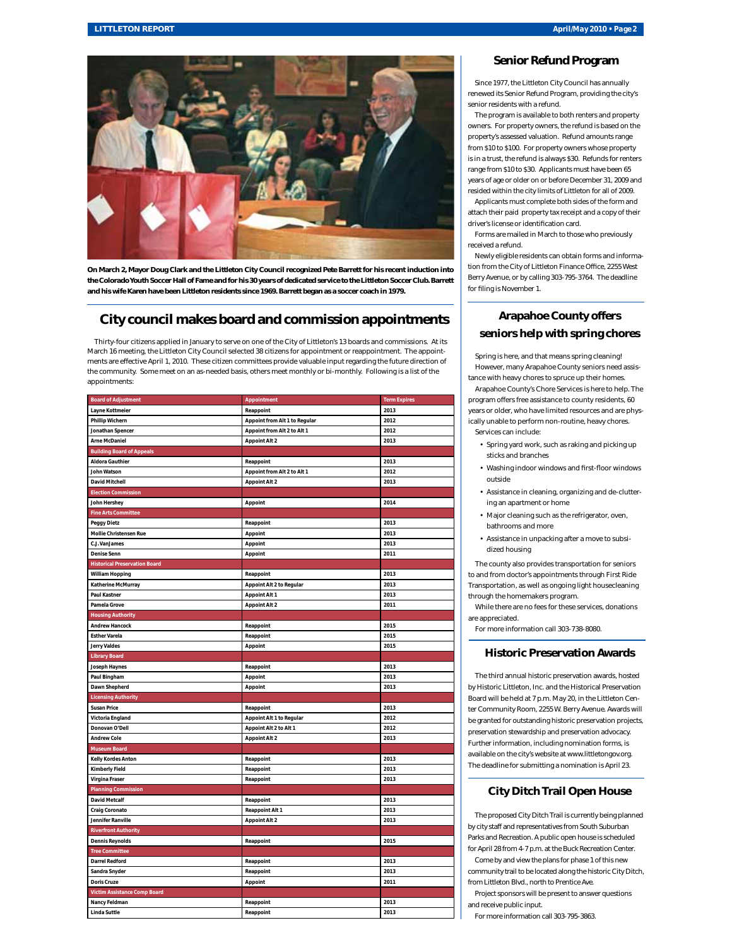

**On March 2, Mayor Doug Clark and the Littleton City Council recognized Pete Barrett for his recent induction into the Colorado Youth Soccer Hall of Fame and for his 30 years of dedicated service to the Littleton Soccer Club. Barrett and his wife Karen have been Littleton residents since 1969. Barrett began as a soccer coach in 1979.**

## **City council makes board and commission appointments**

Thirty-four citizens applied in January to serve on one of the City of Littleton's 13 boards and commissions. At its March 16 meeting, the Littleton City Council selected 38 citizens for appointment or reappointment. The appointments are effective April 1, 2010. These citizen committees provide valuable input regarding the future direction of the community. Some meet on an as-needed basis, others meet monthly or bi-monthly. Following is a list of the appointments:

| <b>Board of Adjustment</b>           | Appointment                     | <b>Term Expires</b> |
|--------------------------------------|---------------------------------|---------------------|
| Layne Kottmeier                      | Reappoint                       | 2013                |
| <b>Phillip Wichern</b>               | Appoint from Alt 1 to Regular   | 2012                |
| Jonathan Spencer                     | Appoint from Alt 2 to Alt 1     | 2012                |
| <b>Arne McDaniel</b>                 | <b>Appoint Alt 2</b>            | 2013                |
| <b>Building Board of Appeals</b>     |                                 |                     |
| <b>Aldora Gauthier</b>               | Reappoint                       | 2013                |
| <b>John Watson</b>                   | Appoint from Alt 2 to Alt 1     | 2012                |
| <b>David Mitchell</b>                | <b>Appoint Alt 2</b>            | 2013                |
| <b>Election Commission</b>           |                                 |                     |
| <b>John Hershey</b>                  | Appoint                         | 2014                |
| <b>Fine Arts Committee</b>           |                                 |                     |
| <b>Peggy Dietz</b>                   | Reappoint                       | 2013                |
| <b>Mollie Christensen Rue</b>        | Appoint                         | 2013                |
| C.J. VanJames                        | Appoint                         | 2013                |
| <b>Denise Senn</b>                   | Appoint                         | 2011                |
| <b>Historical Preservation Board</b> |                                 |                     |
| <b>William Hopping</b>               | Reappoint                       | 2013                |
| Katherine McMurray                   | <b>Appoint Alt 2 to Regular</b> | 2013                |
| Paul Kastner                         | <b>Appoint Alt 1</b>            | 2013                |
| Pamela Grove                         | <b>Appoint Alt 2</b>            | 2011                |
| <b>Housing Authority</b>             |                                 |                     |
| <b>Andrew Hancock</b>                | Reappoint                       | 2015                |
| <b>Esther Varela</b>                 | Reappoint                       | 2015                |
| <b>Jerry Valdes</b>                  | Appoint                         | 2015                |
| <b>Library Board</b>                 |                                 |                     |
| <b>Joseph Haynes</b>                 | Reappoint                       | 2013                |
| Paul Bingham                         | Appoint                         | 2013                |
| Dawn Shepherd                        | Appoint                         | 2013                |
| <b>Licensing Authority</b>           |                                 |                     |
| <b>Susan Price</b>                   | Reappoint                       | 2013                |
| Victoria England                     | Appoint Alt 1 to Regular        | 2012                |
| Donovan O'Dell                       | Appoint Alt 2 to Alt 1          | 2012                |
| <b>Andrew Cole</b>                   | <b>Appoint Alt 2</b>            | 2013                |
| <b>Museum Board</b>                  |                                 |                     |
| <b>Kelly Kordes Anton</b>            | Reappoint                       | 2013                |
| <b>Kimberly Field</b>                | Reappoint                       | 2013                |
| Virgina Fraser                       | Reappoint                       | 2013                |
| <b>Planning Commission</b>           |                                 |                     |
| <b>David Metcalf</b>                 | Reappoint                       | 2013                |
| Craig Coronato                       | <b>Reappoint Alt 1</b>          | 2013                |
| <b>Jennifer Ranville</b>             | <b>Appoint Alt 2</b>            | 2013                |
| <b>Riverfront Authority</b>          |                                 |                     |
| <b>Dennis Reynolds</b>               | Reappoint                       | 2015                |
| <b>Tree Committee</b>                |                                 |                     |
| <b>Darrel Redford</b>                | Reappoint                       | 2013                |
| Sandra Snyder                        | Reappoint                       | 2013                |
| <b>Doris Cruze</b>                   | Appoint                         | 2011                |
| Victim Assistance Comp Board         |                                 |                     |
| Nancy Feldman                        | Reappoint                       | 2013                |
| <b>Linda Suttle</b>                  | Reappoint                       | 2013                |
|                                      |                                 |                     |

#### **Senior Refund Program**

Since 1977, the Littleton City Council has annually renewed its Senior Refund Program, providing the city's senior residents with a refund.

The program is available to both renters and property owners. For property owners, the refund is based on the property's assessed valuation. Refund amounts range from \$10 to \$100. For property owners whose property is in a trust, the refund is always \$30. Refunds for renters range from \$10 to \$30. Applicants must have been 65 years of age or older on or before December 31, 2009 and resided within the city limits of Littleton for all of 2009.

Applicants must complete both sides of the form and attach their paid property tax receipt and a copy of their driver's license or identification card.

Forms are mailed in March to those who previously received a refund.

Newly eligible residents can obtain forms and information from the City of Littleton Finance Office, 2255 West Berry Avenue, or by calling 303-795-3764. The deadline for filing is November 1.

## **Arapahoe County offers seniors help with spring chores**

Spring is here, and that means spring cleaning! However, many Arapahoe County seniors need assistance with heavy chores to spruce up their homes.

Arapahoe County's Chore Services is here to help. The program offers free assistance to county residents, 60 years or older, who have limited resources and are physically unable to perform non-routine, heavy chores. Services can include:

- Spring yard work, such as raking and picking up sticks and branches
- Washing indoor windows and first-floor windows outside
- Assistance in cleaning, organizing and de-cluttering an apartment or home
- Major cleaning such as the refrigerator, oven, bathrooms and more
- Assistance in unpacking after a move to subsidized housing

The county also provides transportation for seniors to and from doctor's appointments through First Ride Transportation, as well as ongoing light housecleaning through the homemakers program.

While there are no fees for these services, donations are appreciated.

For more information call 303-738-8080.

#### **Historic Preservation Awards**

The third annual historic preservation awards, hosted by Historic Littleton, Inc. and the Historical Preservation Board will be held at 7 p.m. May 20, in the Littleton Center Community Room, 2255 W. Berry Avenue. Awards will be granted for outstanding historic preservation projects, preservation stewardship and preservation advocacy. Further information, including nomination forms, is available on the city's website at www.littletongov.org. The deadline for submitting a nomination is April 23.

#### **City Ditch Trail Open House**

The proposed City Ditch Trail is currently being planned by city staff and representatives from South Suburban Parks and Recreation. A public open house is scheduled for April 28 from 4-7 p.m. at the Buck Recreation Center.

Come by and view the plans for phase 1 of this new community trail to be located along the historic City Ditch, from Littleton Blvd., north to Prentice Ave.

Project sponsors will be present to answer questions and receive public input.

For more information call 303-795-3863.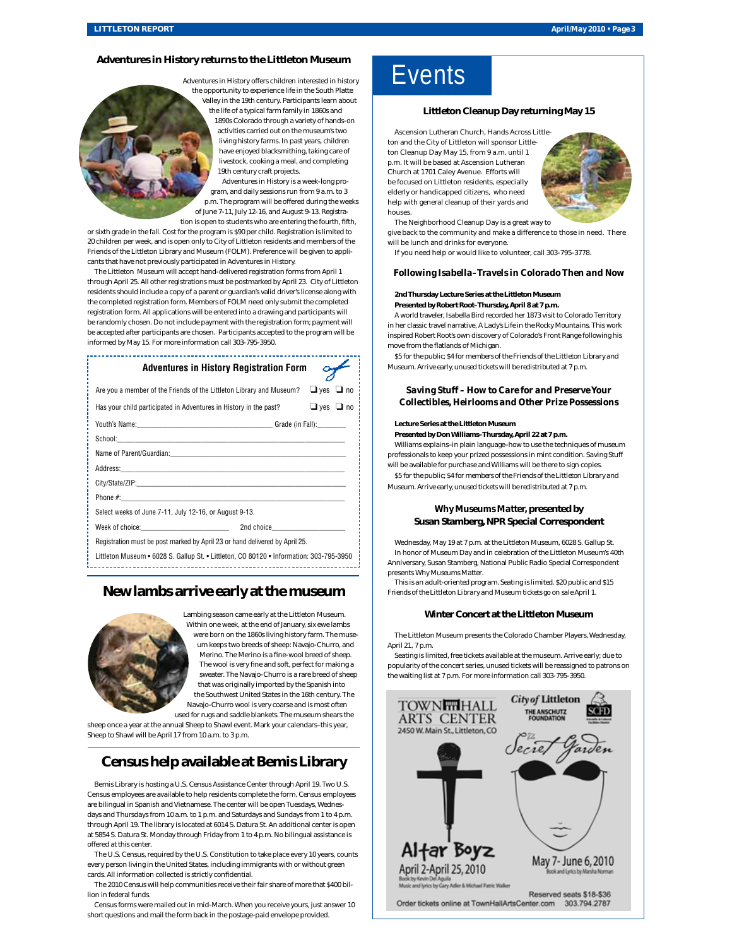#### **Adventures in History returns to the Littleton Museum**



Adventures in History offers children interested in history the opportunity to experience life in the South Platte Valley in the 19th century. Participants learn about the life of a typical farm family in 1860s and 1890s Colorado through a variety of hands-on activities carried out on the museum's two living history farms. In past years, children have enjoyed blacksmithing, taking care of livestock, cooking a meal, and completing 19th century craft projects.

Adventures in History is a week-long program, and daily sessions run from 9 a.m. to 3 p.m. The program will be offered during the weeks of June 7-11, July 12-16, and August 9-13. Registration is open to students who are entering the fourth, fifth,

or sixth grade in the fall. Cost for the program is \$90 per child. Registration is limited to 20 children per week, and is open only to City of Littleton residents and members of the Friends of the Littleton Library and Museum (FOLM). Preference will be given to applicants that have not previously participated in Adventures in History.

The Littleton Museum will accept hand-delivered registration forms from April 1 through April 25. All other registrations must be postmarked by April 23. City of Littleton residents should include a copy of a parent or guardian's valid driver's license along with the completed registration form. Members of FOLM need only submit the completed registration form. All applications will be entered into a drawing and participants will be randomly chosen. Do not include payment with the registration form; payment will be accepted after participants are chosen. Participants accepted to the program will be informed by May 15. For more information call 303-795-3950.

| <b>Adventures in History Registration Form</b>                                          |  |  |                      |  |
|-----------------------------------------------------------------------------------------|--|--|----------------------|--|
| Are you a member of the Friends of the Littleton Library and Museum?                    |  |  | $\Box$ yes $\Box$ no |  |
| Has your child participated in Adventures in History in the past?                       |  |  | $\Box$ yes $\Box$ no |  |
|                                                                                         |  |  |                      |  |
|                                                                                         |  |  |                      |  |
|                                                                                         |  |  |                      |  |
|                                                                                         |  |  |                      |  |
|                                                                                         |  |  |                      |  |
|                                                                                         |  |  |                      |  |
| Select weeks of June 7-11, July 12-16, or August 9-13.                                  |  |  |                      |  |
|                                                                                         |  |  |                      |  |
| Registration must be post marked by April 23 or hand delivered by April 25.             |  |  |                      |  |
| Littleton Museum • 6028 S. Gallup St. • Littleton, CO 80120 • Information: 303-795-3950 |  |  |                      |  |

## **New lambs arrive early at the museum**



Lambing season came early at the Littleton Museum. Within one week, at the end of January, six ewe lambs were born on the 1860s living history farm. The museum keeps two breeds of sheep: Navajo-Churro, and Merino. The Merino is a fine-wool breed of sheep. The wool is very fine and soft, perfect for making a sweater. The Navajo-Churro is a rare breed of sheep that was originally imported by the Spanish into the Southwest United States in the 16th century. The Navajo-Churro wool is very coarse and is most often used for rugs and saddle blankets. The museum shears the

sheep once a year at the annual Sheep to Shawl event. Mark your calendars–this year, Sheep to Shawl will be April 17 from 10 a.m. to 3 p.m.

## **Census help available at Bemis Library**

Bemis Library is hosting a U.S. Census Assistance Center through April 19. Two U.S. Census employees are available to help residents complete the form. Census employees are bilingual in Spanish and Vietnamese. The center will be open Tuesdays, Wednesdays and Thursdays from 10 a.m. to 1 p.m. and Saturdays and Sundays from 1 to 4 p.m. through April 19. The library is located at 6014 S. Datura St. An additional center is open at 5854 S. Datura St. Monday through Friday from 1 to 4 p.m. No bilingual assistance is offered at this center.

The U.S. Census, required by the U.S. Constitution to take place every 10 years, counts every person living in the United States, including immigrants with or without green cards. All information collected is strictly confidential.

The 2010 Census will help communities receive their fair share of more that \$400 billion in federal funds.

Census forms were mailed out in mid-March. When you receive yours, just answer 10 short questions and mail the form back in the postage-paid envelope provided.

## **Events**

#### **Littleton Cleanup Day returning May 15**

Ascension Lutheran Church, Hands Across Littleton and the City of Littleton will sponsor Littleton Cleanup Day May 15, from 9 a.m. until 1 p.m. It will be based at Ascension Lutheran Church at 1701 Caley Avenue. Efforts will be focused on Littleton residents, especially elderly or handicapped citizens, who need help with general cleanup of their yards and houses.



The Neighborhood Cleanup Day is a great way to give back to the community and make a difference to those in need. There will be lunch and drinks for everyone.

If you need help or would like to volunteer, call 303-795-3778.

#### *Following Isabella–Travels in Colorado Then and Now*

#### **2nd Thursday Lecture Series at the Littleton Museum Presented by Robert Root–Thursday, April 8 at 7 p.m.**

A world traveler, Isabella Bird recorded her 1873 visit to Colorado Territory

in her classic travel narrative, *A Lady's Life in the Rocky Mountains*. This work inspired Robert Root's own discovery of Colorado's Front Range following his move from the flatlands of Michigan.

*\$5 for the public; \$4 for members of the Friends of the Littleton Library and Museum. Arrive early, unused tickets will be redistributed at 7 p.m.*

#### *Saving Stuff – How to Care for and Preserve Your Collectibles, Heirlooms and Other Prize Possessions*

#### **Lecture Series at the Littleton Museum**

**Presented by Don Williams–Thursday, April 22 at 7 p.m.**  Williams explains–in plain language–how to use the techniques of museum professionals to keep your prized possessions in mint condition. *Saving Stuff*

will be available for purchase and Williams will be there to sign copies. *\$5 for the public; \$4 for members of the Friends of the Littleton Library and Museum. Arrive early, unused tickets will be redistributed at 7 p.m.*

## *Why Museums Matter,* **presented by**

## **Susan Stamberg, NPR Special Correspondent**

Wednesday, May 19 at 7 p.m. at the Littleton Museum, 6028 S. Gallup St. In honor of Museum Day and in celebration of the Littleton Museum's 40th Anniversary, Susan Stamberg, National Public Radio Special Correspondent presents *Why Museums Matter*.

*This is an adult-oriented program. Seating is limited. \$20 public and \$15 Friends of the Littleton Library and Museum tickets go on sale April 1.*

#### **Winter Concert at the Littleton Museum**

The Littleton Museum presents the Colorado Chamber Players, Wednesday, April 21, 7 p.m.

Seating is limited, free tickets available at the museum. Arrive early; due to popularity of the concert series, unused tickets will be reassigned to patrons on the waiting list at 7 p.m. For more information call 303-795-3950.

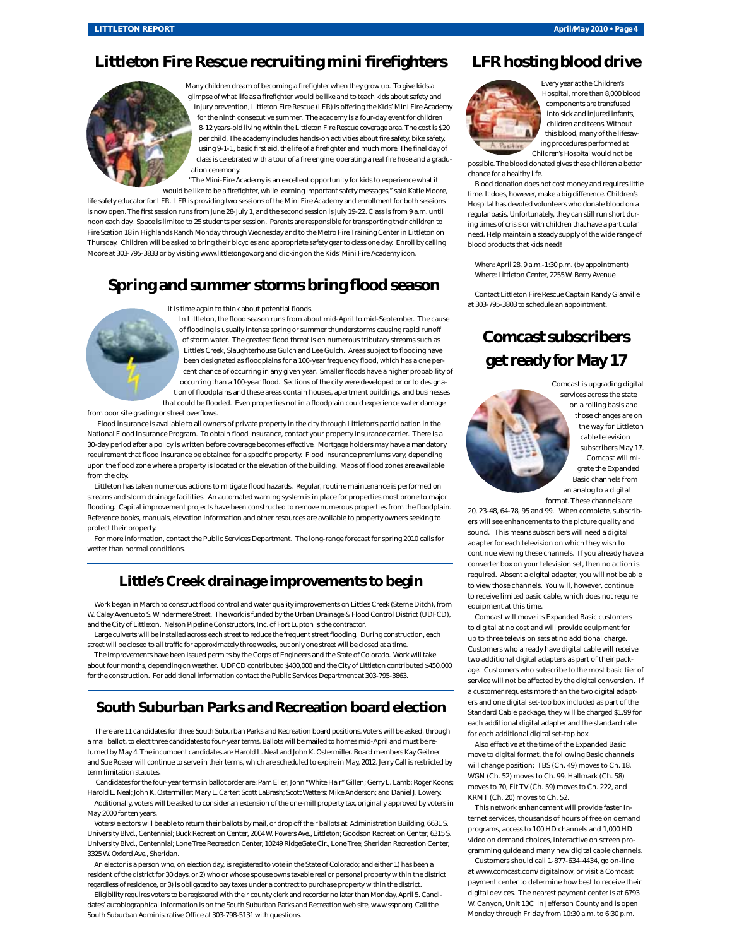## **Littleton Fire Rescue recruiting mini firefighters**



Many children dream of becoming a firefighter when they grow up. To give kids a glimpse of what life as a firefighter would be like and to teach kids about safety and injury prevention, Littleton Fire Rescue (LFR) is offering the Kids' Mini Fire Academy for the ninth consecutive summer. The academy is a four-day event for children 8-12 years-old living within the Littleton Fire Rescue coverage area. The cost is \$20 per child. The academy includes hands-on activities about fire safety, bike safety, using 9-1-1, basic first aid, the life of a firefighter and much more. The final day of class is celebrated with a tour of a fire engine, operating a real fire hose and a graduation ceremony. "The Mini-Fire Academy is an excellent opportunity for kids to experience what it

would be like to be a firefighter, while learning important safety messages," said Katie Moore,

life safety educator for LFR. LFR is providing two sessions of the Mini Fire Academy and enrollment for both sessions is now open. The first session runs from June 28-July 1, and the second session is July 19-22. Class is from 9 a.m. until noon each day. Space is limited to 25 students per session. Parents are responsible for transporting their children to Fire Station 18 in Highlands Ranch Monday through Wednesday and to the Metro Fire Training Center in Littleton on Thursday. Children will be asked to bring their bicycles and appropriate safety gear to class one day. Enroll by calling Moore at 303-795-3833 or by visiting www.littletongov.org and clicking on the Kids' Mini Fire Academy icon.

## **Spring and summer storms bring flood season**

It is time again to think about potential floods.

In Littleton, the flood season runs from about mid-April to mid-September. The cause of flooding is usually intense spring or summer thunderstorms causing rapid runoff of storm water. The greatest flood threat is on numerous tributary streams such as Little's Creek, Slaughterhouse Gulch and Lee Gulch. Areas subject to flooding have been designated as floodplains for a 100-year frequency flood, which has a one percent chance of occurring in any given year. Smaller floods have a higher probability of occurring than a 100-year flood. Sections of the city were developed prior to designation of floodplains and these areas contain houses, apartment buildings, and businesses that could be flooded. Even properties not in a floodplain could experience water damage

from poor site grading or street overflows.

 Flood insurance is available to all owners of private property in the city through Littleton's participation in the National Flood Insurance Program. To obtain flood insurance, contact your property insurance carrier. There is a 30-day period after a policy is written before coverage becomes effective. Mortgage holders may have a mandatory requirement that flood insurance be obtained for a specific property. Flood insurance premiums vary, depending upon the flood zone where a property is located or the elevation of the building. Maps of flood zones are available from the city.

Littleton has taken numerous actions to mitigate flood hazards. Regular, routine maintenance is performed on streams and storm drainage facilities. An automated warning system is in place for properties most prone to major flooding. Capital improvement projects have been constructed to remove numerous properties from the floodplain. Reference books, manuals, elevation information and other resources are available to property owners seeking to protect their property.

For more information, contact the Public Services Department. The long-range forecast for spring 2010 calls for wetter than normal conditions.

## **Little's Creek drainage improvements to begin**

Work began in March to construct flood control and water quality improvements on Little's Creek (Sterne Ditch), from W. Caley Avenue to S. Windermere Street. The work is funded by the Urban Drainage & Flood Control District (UDFCD), and the City of Littleton. Nelson Pipeline Constructors, Inc. of Fort Lupton is the contractor.

Large culverts will be installed across each street to reduce the frequent street flooding. During construction, each street will be closed to all traffic for approximately three weeks, but only one street will be closed at a time.

The improvements have been issued permits by the Corps of Engineers and the State of Colorado. Work will take about four months, depending on weather. UDFCD contributed \$400,000 and the City of Littleton contributed \$450,000 for the construction. For additional information contact the Public Services Department at 303-795-3863.

## **South Suburban Parks and Recreation board election**

There are 11 candidates for three South Suburban Parks and Recreation board positions. Voters will be asked, through a mail ballot, to elect three candidates to four-year terms. Ballots will be mailed to homes mid-April and must be returned by May 4. The incumbent candidates are Harold L. Neal and John K. Ostermiller. Board members Kay Geitner and Sue Rosser will continue to serve in their terms, which are scheduled to expire in May, 2012. Jerry Call is restricted by term limitation statutes.

 Candidates for the four-year terms in ballot order are: Pam Eller; John "White Hair" Gillen; Gerry L. Lamb; Roger Koons; Harold L. Neal; John K. Ostermiller; Mary L. Carter; Scott LaBrash; Scott Watters; Mike Anderson; and Daniel J. Lowery. Additionally, voters will be asked to consider an extension of the one-mill property tax, originally approved by voters in May 2000 for ten years.

Voters/electors will be able to return their ballots by mail, or drop off their ballots at: Administration Building, 6631 S. University Blvd., Centennial; Buck Recreation Center, 2004 W. Powers Ave., Littleton; Goodson Recreation Center, 6315 S. University Blvd., Centennial; Lone Tree Recreation Center, 10249 RidgeGate Cir., Lone Tree; Sheridan Recreation Center, 3325 W. Oxford Ave., Sheridan.

An elector is a person who, on election day, is registered to vote in the State of Colorado; and either 1) has been a resident of the district for 30 days, or 2) who or whose spouse owns taxable real or personal property within the district regardless of residence, or 3) is obligated to pay taxes under a contract to purchase property within the district.

Eligibility requires voters to be registered with their county clerk and recorder no later than Monday, April 5. Candidates' autobiographical information is on the South Suburban Parks and Recreation web site, www.sspr.org. Call the South Suburban Administrative Office at 303-798-5131 with questions.

## **LFR hosting blood drive**



Every year at the Children's Hospital, more than 8,000 blood components are transfused into sick and injured infants, children and teens. Without this blood, many of the lifesaving procedures performed at Children's Hospital would not be

possible. The blood donated gives these children a better chance for a healthy life.

Blood donation does not cost money and requires little time. It does, however, make a big difference. Children's Hospital has devoted volunteers who donate blood on a regular basis. Unfortunately, they can still run short during times of crisis or with children that have a particular need. Help maintain a steady supply of the wide range of blood products that kids need!

When: April 28, 9 a.m.-1:30 p.m. (by appointment) Where: Littleton Center, 2255 W. Berry Avenue

Contact Littleton Fire Rescue Captain Randy Glanville at 303-795-3803 to schedule an appointment.

## **Comcast subscribers get ready for May 17**

Comcast is upgrading digital services across the state on a rolling basis and those changes are on the way for Littleton cable television subscribers May 17. Comcast will migrate the Expanded Basic channels from an analog to a digital format. These channels are

20, 23-48, 64-78, 95 and 99. When complete, subscribers will see enhancements to the picture quality and sound. This means subscribers will need a digital adapter for each television on which they wish to continue viewing these channels. If you already have a converter box on your television set, then no action is required. Absent a digital adapter, you will not be able to view those channels. You will, however, continue to receive limited basic cable, which does not require equipment at this time.

Comcast will move its Expanded Basic customers to digital at no cost and will provide equipment for up to three television sets at no additional charge. Customers who already have digital cable will receive two additional digital adapters as part of their package. Customers who subscribe to the most basic tier of service will not be affected by the digital conversion. If a customer requests more than the two digital adapters and one digital set-top box included as part of the Standard Cable package, they will be charged \$1.99 for each additional digital adapter and the standard rate for each additional digital set-top box.

Also effective at the time of the Expanded Basic move to digital format, the following Basic channels will change position: TBS (Ch. 49) moves to Ch. 18, WGN (Ch. 52) moves to Ch. 99, Hallmark (Ch. 58) moves to 70, Fit TV (Ch. 59) moves to Ch. 222, and KRMT (Ch. 20) moves to Ch. 52.

This network enhancement will provide faster Internet services, thousands of hours of free on demand programs, access to 100 HD channels and 1,000 HD video on demand choices, interactive on screen programming guide and many new digital cable channels.

Customers should call 1-877-634-4434, go on-line at www.comcast.com/digitalnow, or visit a Comcast payment center to determine how best to receive their digital devices. The nearest payment center is at 6793 W. Canyon, Unit 13C in Jefferson County and is open Monday through Friday from 10:30 a.m. to 6:30 p.m.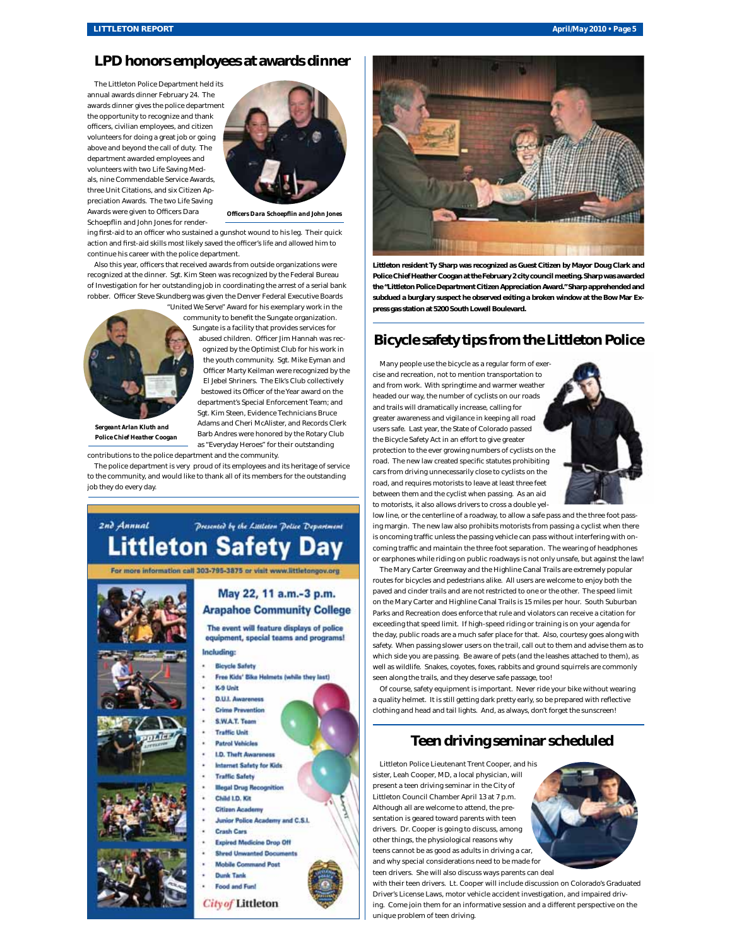### **LPD honors employees at awards dinner**

The Littleton Police Department held its annual awards dinner February 24. The awards dinner gives the police department the opportunity to recognize and thank officers, civilian employees, and citizen volunteers for doing a great job or going above and beyond the call of duty. The department awarded employees and volunteers with two Life Saving Medals, nine Commendable Service Awards, three Unit Citations, and six Citizen Appreciation Awards. The two Life Saving Awards were given to Officers Dara Schoepflin and John Jones for render-



*Offi cers Dara Schoepfl in and John Jones*

ognized by the Optimist Club for his work in the youth community. Sgt. Mike Eyman and Officer Marty Keilman were recognized by the El Jebel Shriners. The Elk's Club collectively bestowed its Officer of the Year award on the

Barb Andres were honored by the Rotary Club as "Everyday Heroes" for their outstanding

ing first-aid to an officer who sustained a gunshot wound to his leg. Their quick action and first-aid skills most likely saved the officer's life and allowed him to continue his career with the police department.

Also this year, officers that received awards from outside organizations were recognized at the dinner. Sgt. Kim Steen was recognized by the Federal Bureau of Investigation for her outstanding job in coordinating the arrest of a serial bank robber. Officer Steve Skundberg was given the Denver Federal Executive Boards "United We Serve" Award for his exemplary work in the



*Sergeant Arlan Kluth and Police Chief Heather Coogan*

contributions to the police department and the community. The police department is very proud of its employees and its heritage of service

to the community, and would like to thank all of its members for the outstanding job they do every day.





**Littleton resident Ty Sharp was recognized as Guest Citizen by Mayor Doug Clark and Police Chief Heather Coogan at the February 2 city council meeting. Sharp was awarded the "Littleton Police Department Citizen Appreciation Award." Sharp apprehended and subdued a burglary suspect he observed exiting a broken window at the Bow Mar Express gas station at 5200 South Lowell Boulevard.**

## **Bicycle safety tips from the Littleton Police**

Many people use the bicycle as a regular form of exercise and recreation, not to mention transportation to and from work. With springtime and warmer weather headed our way, the number of cyclists on our roads and trails will dramatically increase, calling for greater awareness and vigilance in keeping all road users safe. Last year, the State of Colorado passed the Bicycle Safety Act in an effort to give greater protection to the ever growing numbers of cyclists on the road. The new law created specific statutes prohibiting cars from driving unnecessarily close to cyclists on the road, and requires motorists to leave at least three feet between them and the cyclist when passing. As an aid to motorists, it also allows drivers to cross a double yel-



low line, or the centerline of a roadway, to allow a safe pass and the three foot passing margin. The new law also prohibits motorists from passing a cyclist when there is oncoming traffic unless the passing vehicle can pass without interfering with oncoming traffic and maintain the three foot separation. The wearing of headphones or earphones while riding on public roadways is not only unsafe, but against the law!

The Mary Carter Greenway and the Highline Canal Trails are extremely popular routes for bicycles and pedestrians alike. All users are welcome to enjoy both the paved and cinder trails and are not restricted to one or the other. The speed limit on the Mary Carter and Highline Canal Trails is 15 miles per hour. South Suburban Parks and Recreation does enforce that rule and violators can receive a citation for exceeding that speed limit. If high-speed riding or training is on your agenda for the day, public roads are a much safer place for that. Also, courtesy goes along with safety. When passing slower users on the trail, call out to them and advise them as to which side you are passing. Be aware of pets (and the leashes attached to them), as well as wildlife. Snakes, coyotes, foxes, rabbits and ground squirrels are commonly seen along the trails, and they deserve safe passage, too!

Of course, safety equipment is important. Never ride your bike without wearing a quality helmet. It is still getting dark pretty early, so be prepared with reflective clothing and head and tail lights. And, as always, don't forget the sunscreen!

## **Teen driving seminar scheduled**

Littleton Police Lieutenant Trent Cooper, and his sister, Leah Cooper, MD, a local physician, will present a teen driving seminar in the City of Littleton Council Chamber April 13 at 7 p.m. Although all are welcome to attend, the presentation is geared toward parents with teen drivers. Dr. Cooper is going to discuss, among other things, the physiological reasons why teens cannot be as good as adults in driving a car, and why special considerations need to be made for

teen drivers. She will also discuss ways parents can deal



with their teen drivers. Lt. Cooper will include discussion on Colorado's Graduated Driver's License Laws, motor vehicle accident investigation, and impaired driving. Come join them for an informative session and a different perspective on the unique problem of teen driving.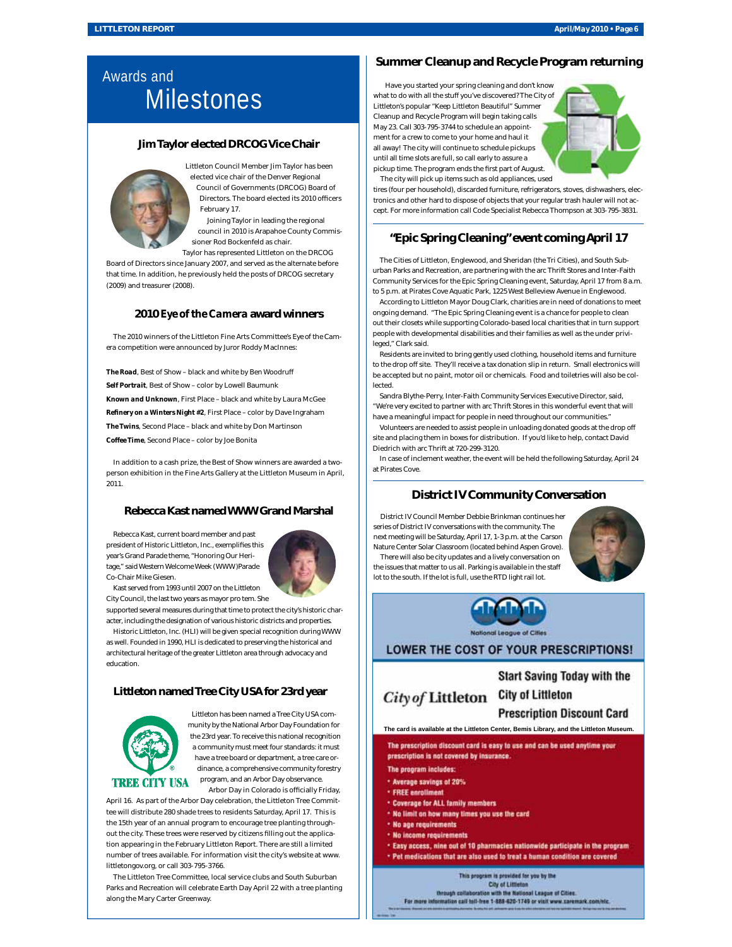## Awards and **Milestones**

#### **Jim Taylor elected DRCOG Vice Chair**



Littleton Council Member Jim Taylor has been elected vice chair of the Denver Regional Council of Governments (DRCOG) Board of Directors. The board elected its 2010 officers February 17.

Joining Taylor in leading the regional council in 2010 is Arapahoe County Commissioner Rod Bockenfeld as chair. Taylor has represented Littleton on the DRCOG

Board of Directors since January 2007, and served as the alternate before that time. In addition, he previously held the posts of DRCOG secretary (2009) and treasurer (2008).

#### **2010** *Eye of the Camera* **award winners**

The 2010 winners of the Littleton Fine Arts Committee's *Eye of the Camera* competition were announced by Juror Roddy MacInnes:

*The Road*, Best of Show – black and white by Ben Woodruff *Self Portrait*, Best of Show – color by Lowell Baumunk *Known and Unknown*, First Place – black and white by Laura McGee **Refinery on a Winters Night #2**, First Place - color by Dave Ingraham *The Twins*, Second Place – black and white by Don Martinson *Coffee Time*, Second Place – color by Joe Bonita

In addition to a cash prize, the Best of Show winners are awarded a twoperson exhibition in the Fine Arts Gallery at the Littleton Museum in April, 2011.

#### **Rebecca Kast named WWW Grand Marshal**

Rebecca Kast, current board member and past president of Historic Littleton, Inc., exemplifies this year's Grand Parade theme, "Honoring Our Heritage," said Western Welcome Week (WWW)Parade Co-Chair Mike Giesen.



Kast served from 1993 until 2007 on the Littleton City Council, the last two years as mayor pro tem. She

supported several measures during that time to protect the city's historic character, including the designation of various historic districts and properties.

Historic Littleton, Inc. (HLI) will be given special recognition during WWW as well. Founded in 1990, HLI is dedicated to preserving the historical and architectural heritage of the greater Littleton area through advocacy and education.

#### **Littleton named Tree City USA for 23rd year**



Littleton has been named a Tree City USA community by the National Arbor Day Foundation for the 23rd year. To receive this national recognition a community must meet four standards: it must have a tree board or department, a tree care ordinance, a comprehensive community forestry program, and an Arbor Day observance.

Arbor Day in Colorado is officially Friday,

## **TREE CITY USA**

April 16. As part of the Arbor Day celebration, the Littleton Tree Committee will distribute 280 shade trees to residents Saturday, April 17. This is the 15th year of an annual program to encourage tree planting throughout the city. These trees were reserved by citizens filling out the application appearing in the February *Littleton Report*. There are still a limited number of trees available. For information visit the city's website at www. littletongov.org, or call 303-795-3766.

The Littleton Tree Committee, local service clubs and South Suburban Parks and Recreation will celebrate Earth Day April 22 with a tree planting along the Mary Carter Greenway.

#### **Summer Cleanup and Recycle Program returning**

 Have you started your spring cleaning and don't know what to do with all the stuff you've discovered? The City of Littleton's popular "Keep Littleton Beautiful" Summer Cleanup and Recycle Program will begin taking calls May 23. Call 303-795-3744 to schedule an appointment for a crew to come to your home and haul it all away! The city will continue to schedule pickups until all time slots are full, so call early to assure a pickup time. The program ends the first part of August. The city will pick up items such as old appliances, used



tires (four per household), discarded furniture, refrigerators, stoves, dishwashers, electronics and other hard to dispose of objects that your regular trash hauler will not accept. For more information call Code Specialist Rebecca Thompson at 303-795-3831.

### **"Epic Spring Cleaning" event coming April 17**

The Cities of Littleton, Englewood, and Sheridan (the Tri Cities), and South Suburban Parks and Recreation, are partnering with the arc Thrift Stores and Inter-Faith Community Services for the Epic Spring Cleaning event, Saturday, April 17 from 8 a.m. to 5 p.m. at Pirates Cove Aquatic Park, 1225 West Belleview Avenue in Englewood.

According to Littleton Mayor Doug Clark, charities are in need of donations to meet ongoing demand. "The Epic Spring Cleaning event is a chance for people to clean out their closets while supporting Colorado-based local charities that in turn support people with developmental disabilities and their families as well as the under privileged," Clark said.

Residents are invited to bring gently used clothing, household items and furniture to the drop off site. They'll receive a tax donation slip in return. Small electronics will be accepted but no paint, motor oil or chemicals. Food and toiletries will also be collected.

Sandra Blythe-Perry, Inter-Faith Community Services Executive Director, said, "We're very excited to partner with arc Thrift Stores in this wonderful event that will have a meaningful impact for people in need throughout our communities.

Volunteers are needed to assist people in unloading donated goods at the drop off site and placing them in boxes for distribution. If you'd like to help, contact David Diedrich with arc Thrift at 720-299-3120.

In case of inclement weather, the event will be held the following Saturday, April 24 at Pirates Cove.

#### **District IV Community Conversation**

District IV Council Member Debbie Brinkman continues her series of District IV conversations with the community. The next meeting will be Saturday, April 17, 1-3 p.m. at the Carson Nature Center Solar Classroom (located behind Aspen Grove). There will also be city updates and a lively conversation on the issues that matter to us all. Parking is available in the staff lot to the south. If the lot is full, use the RTD light rail lot.





LOWER THE COST OF YOUR PRESCRIPTIONS!

**Start Saving Today with the** 

City of Littleton City of Littleton

**Prescription Discount Card** 

**The card is available at the Littleton Center, Bemis Library, and the Littleton Museum.**

The prescription discount card is easy to use and can be used anytime your prescription is not covered by insurance.

- The program includes
- \* Average savings of 20%
- · FREE enrollment
- \* Coverage for ALL family members
- No limit on how many times you use the card
- No age requirements
- \* No income requirements
- Easy access, nine out of 10 pharmacies nationwide participate in the program
- Pet medications that are also used to treat a human condition are covered

This program is provided for you by the City of Littleton

through collab n with the National League of Cities.

For more information call toll-free 1-888-620-1749 or visit www.caremark.com/nlc.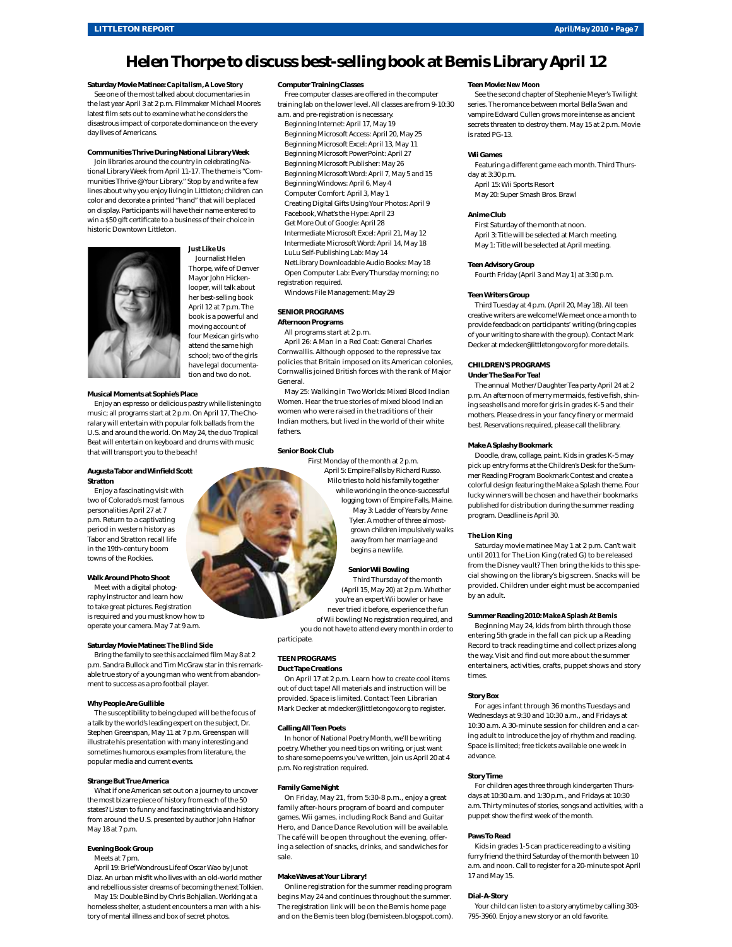## **Helen Thorpe to discuss best-selling book at Bemis Library April 12**

#### **Saturday Movie Matinee:** *Capitalism, A Love Story*

See one of the most talked about documentaries in the last year April 3 at 2 p.m. Filmmaker Michael Moore's latest film sets out to examine what he considers the disastrous impact of corporate dominance on the every day lives of Americans.

#### **Communities Thrive During National Library Week**

Join libraries around the country in celebrating National Library Week from April 11-17. The theme is "Communities Thrive @ Your Library." Stop by and write a few lines about why you enjoy living in Littleton; children can color and decorate a printed "hand" that will be placed on display. Participants will have their name entered to win a \$50 gift certificate to a business of their choice in historic Downtown Littleton.



*Just Like Us* Journalist Helen

Thorpe, wife of Denver Mayor John Hickenlooper, will talk about her best-selling book April 12 at 7 p.m. The book is a powerful and moving account of four Mexican girls who attend the same high school; two of the girls have legal documentation and two do not.

#### **Musical Moments at Sophie's Place**

Enjoy an espresso or delicious pastry while listening to music; all programs start at 2 p.m. On April 17, *The Choralary* will entertain with popular folk ballads from the U.S. and around the world. On May 24, the duo *Tropical Beat* will entertain on keyboard and drums with music that will transport you to the beach!

#### **Augusta Tabor and Winfield Scott Stratton**

Enjoy a fascinating visit with two of Colorado's most famous personalities April 27 at 7 p.m. Return to a captivating period in western history as Tabor and Stratton recall life in the 19th-century boom towns of the Rockies.

#### **Walk Around Photo Shoot**

Meet with a digital photography instructor and learn how to take great pictures. Registration is required and you must know how to operate your camera. May 7 at 9 a.m.

#### **Saturday Movie Matinee:** *The Blind Side*

Bring the family to see this acclaimed film May 8 at 2 p.m. Sandra Bullock and Tim McGraw star in this remarkable true story of a young man who went from abandonment to success as a pro football player.

#### **Why People Are Gullible**

The susceptibility to being duped will be the focus of a talk by the world's leading expert on the subject, Dr. Stephen Greenspan, May 11 at 7 p.m. Greenspan will illustrate his presentation with many interesting and sometimes humorous examples from literature, the popular media and current events.

#### **Strange But True America**

What if one American set out on a journey to uncover the most bizarre piece of history from each of the 50 states? Listen to funny and fascinating trivia and history from around the U.S. presented by author John Hafnor May 18 at 7 p.m.

#### **Evening Book Group**

#### Meets at 7 pm.

April 19: *Brief Wondrous Life of Oscar Wao* by Junot Diaz. An urban misfit who lives with an old-world mother and rebellious sister dreams of becoming the next Tolkien.

May 15: *Double Bind* by Chris Bohjalian. Working at a homeless shelter, a student encounters a man with a history of mental illness and box of secret photos.

**Computer Training Classes** Free computer classes are offered in the computer training lab on the lower level. All classes are from 9-10:30 a.m. and pre-registration is necessary. Beginning Internet: April 17, May 19 Beginning Microsoft Access: April 20, May 25 Beginning Microsoft Excel: April 13, May 11 Beginning Microsoft PowerPoint: April 27 Beginning Microsoft Publisher: May 26 Beginning Microsoft Word: April 7, May 5 and 15 Beginning Windows: April 6, May 4 Computer Comfort: April 3, May 1 Creating Digital Gifts Using Your Photos: April 9 Facebook, What's the Hype: April 23 Get More Out of Google: April 28 Intermediate Microsoft Excel: April 21, May 12 Intermediate Microsoft Word: April 14, May 18 LuLu Self-Publishing Lab: May 14 NetLibrary Downloadable Audio Books: May 18 Open Computer Lab: Every Thursday morning; no registration required.

Windows File Management: May 29

#### **SENIOR PROGRAMS Afternoon Programs**

All programs start at 2 p.m.

April 26: *A Man in a Red Coat: General Charles Cornwallis*. Although opposed to the repressive tax policies that Britain imposed on its American colonies, Cornwallis joined British forces with the rank of Major General.

May 25: *Walking in Two Worlds: Mixed Blood Indian Women*. Hear the true stories of mixed blood Indian women who were raised in the traditions of their Indian mothers, but lived in the world of their white fathers.

#### **Senior Book Club**

First Monday of the month at 2 p.m. April 5: *Empire Falls* by Richard Russo. Milo tries to hold his family together while working in the once-successful logging town of Empire Falls, Maine. May 3: *Ladder of Years* by Anne Tyler. A mother of three almostgrown children impulsively walks away from her marriage and begins a new life.

#### **Senior Wii Bowling**

Third Thursday of the month (April 15, May 20) at 2 p.m. Whether you're an expert Wii bowler or have never tried it before, experience the fun of Wii bowling! No registration required, and you do not have to attend every month in order to participate.

#### **TEEN PROGRAMS**

**Duct Tape Creations**

On April 17 at 2 p.m. Learn how to create cool items out of duct tape! All materials and instruction will be provided. Space is limited. Contact Teen Librarian Mark Decker at mdecker@littletongov.org to register.

#### **Calling All Teen Poets**

In honor of National Poetry Month, we'll be writing poetry. Whether you need tips on writing, or just want to share some poems you've written, join us April 20 at 4 p.m. No registration required.

#### **Family Game Night**

On Friday, May 21, from 5:30-8 p.m., enjoy a great family after-hours program of board and computer games. Wii games, including Rock Band and Guitar Hero, and Dance Dance Revolution will be available. The café will be open throughout the evening, offering a selection of snacks, drinks, and sandwiches for sale.

#### **Make Waves at Your Library!**

Online registration for the summer reading program begins May 24 and continues throughout the summer. The registration link will be on the Bemis home page and on the Bemis teen blog (bemisteen.blogspot.com).

#### **Teen Movie:** *New Moon*

See the second chapter of Stephenie Meyer's *Twilight* series. The romance between mortal Bella Swan and vampire Edward Cullen grows more intense as ancient secrets threaten to destroy them. May 15 at 2 p.m. Movie is rated PG-13.

#### **Wii Games**

Featuring a different game each month. Third Thursday at 3:30 p.m.

April 15: Wii Sports Resort May 20: Super Smash Bros. Brawl

#### **Anime Club**

First Saturday of the month at noon. April 3: Title will be selected at March meeting. May 1: Title will be selected at April meeting.

#### **Teen Advisory Group**

Fourth Friday (April 3 and May 1) at 3:30 p.m.

#### **Teen Writers Group**

Third Tuesday at 4 p.m. (April 20, May 18). All teen creative writers are welcome! We meet once a month to provide feedback on participants' writing (bring copies of your writing to share with the group). Contact Mark Decker at mdecker@littletongov.org for more details.

#### **CHILDREN'S PROGRAMS**

**Under The Sea For Tea!**

The annual Mother/Daughter Tea party April 24 at 2 p.m. An afternoon of merry mermaids, festive fish, shining seashells and more for girls in grades K-5 and their mothers. Please dress in your fancy finery or mermaid best. Reservations required, please call the library.

#### **Make A Splashy Bookmark**

Doodle, draw, collage, paint. Kids in grades K-5 may pick up entry forms at the Children's Desk for the Summer Reading Program Bookmark Contest and create a colorful design featuring the Make a Splash theme. Four lucky winners will be chosen and have their bookmarks published for distribution during the summer reading program. Deadline is April 30.

#### *The Lion King*

Saturday movie matinee May 1 at 2 p.m. Can't wait until 2011 for *The Lion King* (rated G) to be released from the Disney vault? Then bring the kids to this special showing on the library's big screen. Snacks will be provided. Children under eight must be accompanied by an adult.

#### **Summer Reading 2010:** *Make A Splash At Bemis*

Beginning May 24, kids from birth through those entering 5th grade in the fall can pick up a Reading Record to track reading time and collect prizes along the way. Visit and find out more about the summer entertainers, activities, crafts, puppet shows and story times.

#### **Story Box**

For ages infant through 36 months Tuesdays and Wednesdays at 9:30 and 10:30 a.m., and Fridays at 10:30 a.m. A 30-minute session for children and a caring adult to introduce the joy of rhythm and reading. Space is limited; free tickets available one week in advance.

#### **Story Time**

For children ages three through kindergarten Thursdays at 10:30 a.m. and 1:30 p.m., and Fridays at 10:30 a.m. Thirty minutes of stories, songs and activities, with a puppet show the first week of the month.

#### **Paws To Read**

Kids in grades 1-5 can practice reading to a visiting furry friend the third Saturday of the month between 10 a.m. and noon. Call to register for a 20-minute spot April 17 and May 15.

#### **Dial-A-Story**

Your child can listen to a story anytime by calling 303- 795-3960. Enjoy a new story or an old favorite.